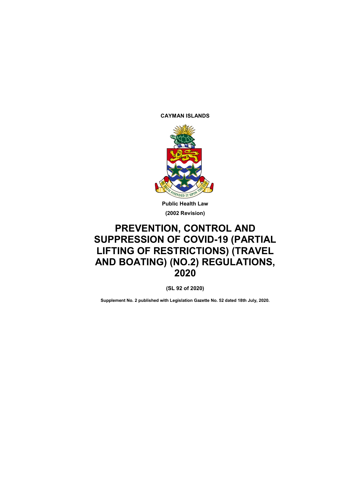**CAYMAN ISLANDS**



**(2002 Revision)**

# **PREVENTION, CONTROL AND SUPPRESSION OF COVID-19 (PARTIAL LIFTING OF RESTRICTIONS) (TRAVEL AND BOATING) (NO.2) REGULATIONS, 2020**

**(SL 92 of 2020)**

**Supplement No. 2 published with Legislation Gazette No. 52 dated 18th July, 2020.**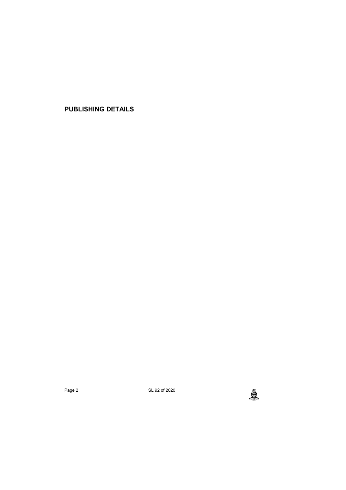**PUBLISHING DETAILS**

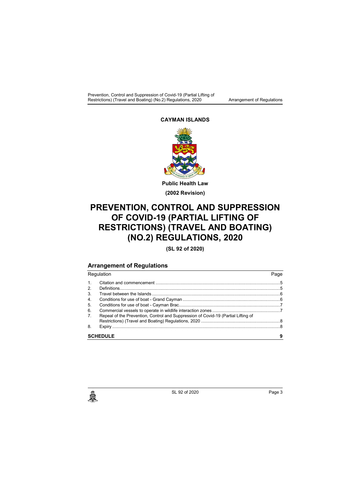Prevention, Control and Suppression of Covid-19 (Partial Lifting of Restrictions) (Travel and Boating) (No.2) Regulations, 2020 Arrangement of Regulations

### **CAYMAN ISLANDS**



# **PREVENTION, CONTROL AND SUPPRESSION OF COVID-19 (PARTIAL LIFTING OF RESTRICTIONS) (TRAVEL AND BOATING) (NO.2) REGULATIONS, 2020**

**(SL 92 of 2020)**

## **Arrangement of Regulations**

Regulation Page 1. Citation and commencement .....................................................................................................5 2. Definitions..................................................................................................................................5 3. Travel between the Islands ........................................................................................................6 4. Conditions for use of boat - Grand Cayman ...............................................................................6 5. Conditions for use of boat - Cayman Brac..................................................................................7 6. Commercial vessels to operate in wildlife interaction zones .......................................................7 7. Repeal of the Prevention, Control and Suppression of Covid-19 (Partial Lifting of Restrictions) (Travel and Boating) Regulations, 2020 ................................................................8 8. Expiry ........................................................................................................................................8 **SCHEDULE 9**

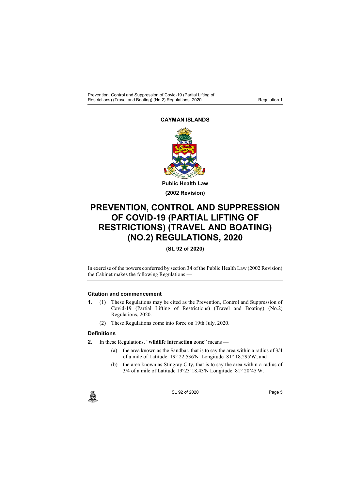#### **CAYMAN ISLANDS**



# **PREVENTION, CONTROL AND SUPPRESSION OF COVID-19 (PARTIAL LIFTING OF RESTRICTIONS) (TRAVEL AND BOATING) (NO.2) REGULATIONS, 2020**

## **(SL 92 of 2020)**

In exercise of the powers conferred by section 34 of the Public Health Law (2002 Revision) the Cabinet makes the following Regulations —

#### **1. Citation and commencement**

- **1**. (1) These Regulations may be cited as the Prevention, Control and Suppression of Covid-19 (Partial Lifting of Restrictions) (Travel and Boating) (No.2) Regulations, 2020.
	- (2) These Regulations come into force on 19th July, 2020.

#### **2. Definitions**

- **2**. In these Regulations, "**wildlife interaction zone**" means
	- (a) the area known as the Sandbar, that is to say the area within a radius of 3/4 of a mile of Latitude 19° 22.536'N Longitude 81° 18.295'W; and
	- (b) the area known as Stingray City, that is to say the area within a radius of 3/4 of a mile of Latitude 19°23'18.43'N Longitude 81° 20'45'W.

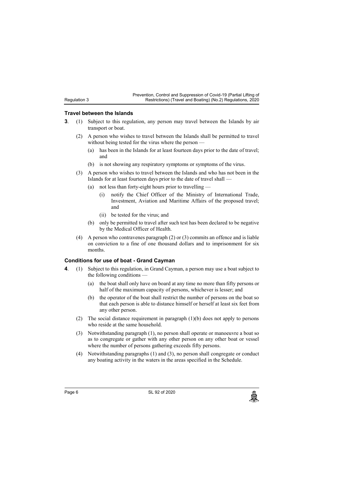Regulation 3

Prevention, Control and Suppression of Covid-19 (Partial Lifting of Restrictions) (Travel and Boating) (No.2) Regulations, 2020

#### **3. Travel between the Islands**

- **3**. (1) Subject to this regulation, any person may travel between the Islands by air transport or boat.
	- (2) A person who wishes to travel between the Islands shall be permitted to travel without being tested for the virus where the person -
		- (a) has been in the Islands for at least fourteen days prior to the date of travel; and
		- (b) is not showing any respiratory symptoms or symptoms of the virus.
	- (3) A person who wishes to travel between the Islands and who has not been in the Islands for at least fourteen days prior to the date of travel shall —
		- (a) not less than forty-eight hours prior to travelling
			- (i) notify the Chief Officer of the Ministry of International Trade, Investment, Aviation and Maritime Affairs of the proposed travel; and
			- (ii) be tested for the virus; and
		- (b) only be permitted to travel after such test has been declared to be negative by the Medical Officer of Health.
	- (4) A person who contravenes paragraph (2) or (3) commits an offence and is liable on conviction to a fine of one thousand dollars and to imprisonment for six months.

#### **4. Conditions for use of boat - Grand Cayman**

- **4**. (1) Subject to this regulation, in Grand Cayman, a person may use a boat subject to the following conditions —
	- (a) the boat shall only have on board at any time no more than fifty persons or half of the maximum capacity of persons, whichever is lesser; and
	- (b) the operator of the boat shall restrict the number of persons on the boat so that each person is able to distance himself or herself at least six feet from any other person.
	- (2) The social distance requirement in paragraph (1)(b) does not apply to persons who reside at the same household.
	- (3) Notwithstanding paragraph (1), no person shall operate or manoeuvre a boat so as to congregate or gather with any other person on any other boat or vessel where the number of persons gathering exceeds fifty persons.
	- (4) Notwithstanding paragraphs (1) and (3), no person shall congregate or conduct any boating activity in the waters in the areas specified in the Schedule.

الله Page 6 SL 92 of 2020<br>المجلس المساحة المساحة المساحة المساحة المساحة المساحة المساحة المساحة المساحة المساحة المساحة المساحة المساحة<br>المساحة المساحة المساحة المساحة المساحة المساحة المساحة المساحة المساحة المساحة الم

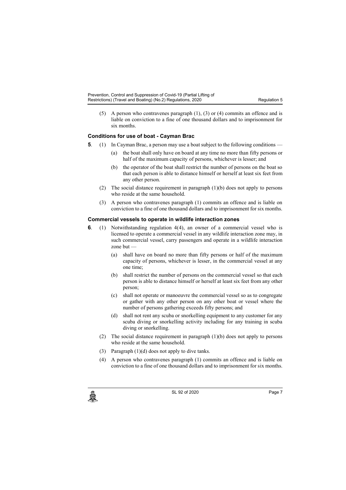- 
- (5) A person who contravenes paragraph (1), (3) or (4) commits an offence and is liable on conviction to a fine of one thousand dollars and to imprisonment for six months.

## **5. Conditions for use of boat - Cayman Brac**

- **5**. (1) In Cayman Brac, a person may use a boat subject to the following conditions
	- (a) the boat shall only have on board at any time no more than fifty persons or half of the maximum capacity of persons, whichever is lesser; and
		- (b) the operator of the boat shall restrict the number of persons on the boat so that each person is able to distance himself or herself at least six feet from any other person.
	- (2) The social distance requirement in paragraph (1)(b) does not apply to persons who reside at the same household.
	- (3) A person who contravenes paragraph (1) commits an offence and is liable on conviction to a fine of one thousand dollars and to imprisonment for six months.

#### **6. Commercial vessels to operate in wildlife interaction zones**

- **6**. (1) Notwithstanding regulation 4(4), an owner of a commercial vessel who is licensed to operate a commercial vessel in any wildlife interaction zone may, in such commercial vessel, carry passengers and operate in a wildlife interaction zone but
	- (a) shall have on board no more than fifty persons or half of the maximum capacity of persons, whichever is lesser, in the commercial vessel at any one time;
	- (b) shall restrict the number of persons on the commercial vessel so that each person is able to distance himself or herself at least six feet from any other person;
	- (c) shall not operate or manoeuvre the commercial vessel so as to congregate or gather with any other person on any other boat or vessel where the number of persons gathering exceeds fifty persons; and
	- (d) shall not rent any scuba or snorkelling equipment to any customer for any scuba diving or snorkelling activity including for any training in scuba diving or snorkelling.
	- (2) The social distance requirement in paragraph (1)(b) does not apply to persons who reside at the same household.
	- (3) Paragraph (1)(d) does not apply to dive tanks.
	- (4) A person who contravenes paragraph (1) commits an offence and is liable on conviction to a fine of one thousand dollars and to imprisonment for six months.



c SL 92 of 2020<br>
SL 92 of 2020<br>
Page 7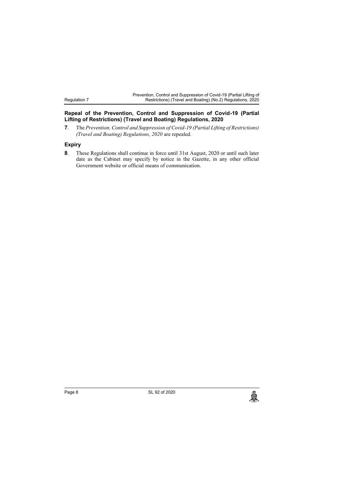### **7. Repeal of the Prevention, Control and Suppression of Covid-19 (Partial Lifting of Restrictions) (Travel and Boating) Regulations, 2020**

**7**. The *Prevention, Control and Suppression of Covid-19 (Partial Lifting of Restrictions) (Travel and Boating) Regulations, 2020* are repealed*.*

## **8. Expiry**

Regulation 7

**8**. These Regulations shall continue in force until 31st August, 2020 or until such later date as the Cabinet may specify by notice in the Gazette, in any other official Government website or official means of communication.

الله Page 8 SL 92 of 2020<br>المجلس المعروفي المعروفي المعروفي المعروفي المعروفي المعروفي المعروفي المعروفي المعروفي المعروفي المعروفي الم<br>المعروفي المعروفي المعروفي المعروفي المعروفي المعروفي المعروفي المعروفي المعروفي الم